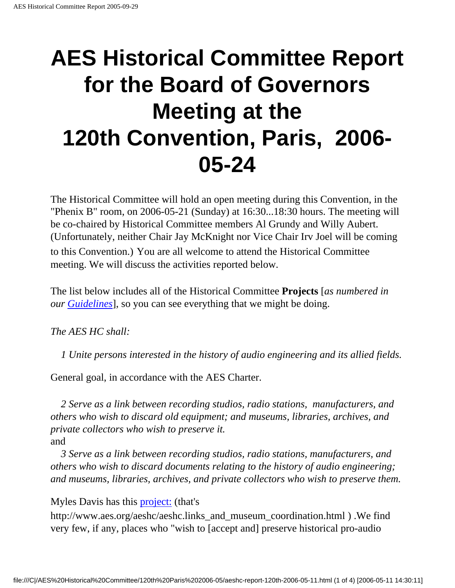## **AES Historical Committee Report for the Board of Governors Meeting at the 120th Convention, Paris, 2006- 05-24**

The Historical Committee will hold an open meeting during this Convention, in the "Phenix B" room, on 2006-05-21 (Sunday) at 16:30...18:30 hours. The meeting will be co-chaired by Historical Committee members Al Grundy and Willy Aubert. (Unfortunately, neither Chair Jay McKnight nor Vice Chair Irv Joel will be coming to this Convention.) You are all welcome to attend the Historical Committee meeting. We will discuss the activities reported below.

The list below includes all of the Historical Committee **Projects** [*as numbered in our [Guidelines](http://www.aes.org/aeshc/docs/aeshcguidelines.html)*], so you can see everything that we might be doing.

*The AES HC shall:*

*1 Unite persons interested in the history of audio engineering and its allied fields.*

General goal, in accordance with the AES Charter.

 *2 Serve as a link between recording studios, radio stations, manufacturers, and others who wish to discard old equipment; and museums, libraries, archives, and private collectors who wish to preserve it.* and

 *3 Serve as a link between recording studios, radio stations, manufacturers, and others who wish to discard documents relating to the history of audio engineering; and museums, libraries, archives, and private collectors who wish to preserve them.*

Myles Davis has this [project:](http://www.aes.org/aeshc/aeshc.links_and_museum_coordination.html) (that's

http://www.aes.org/aeshc/aeshc.links\_and\_museum\_coordination.html ) .We find very few, if any, places who "wish to [accept and] preserve historical pro-audio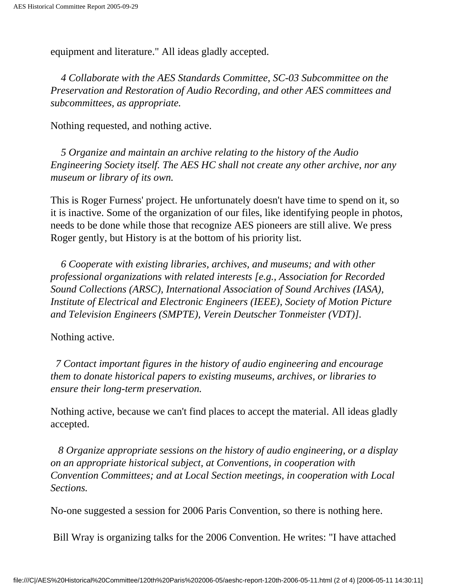equipment and literature." All ideas gladly accepted.

 *4 Collaborate with the AES Standards Committee, SC-03 Subcommittee on the Preservation and Restoration of Audio Recording, and other AES committees and subcommittees, as appropriate.*

Nothing requested, and nothing active.

 *5 Organize and maintain an archive relating to the history of the Audio Engineering Society itself. The AES HC shall not create any other archive, nor any museum or library of its own.*

This is Roger Furness' project. He unfortunately doesn't have time to spend on it, so it is inactive. Some of the organization of our files, like identifying people in photos, needs to be done while those that recognize AES pioneers are still alive. We press Roger gently, but History is at the bottom of his priority list.

 *6 Cooperate with existing libraries, archives, and museums; and with other professional organizations with related interests [e.g., Association for Recorded Sound Collections (ARSC), International Association of Sound Archives (IASA), Institute of Electrical and Electronic Engineers (IEEE), Society of Motion Picture and Television Engineers (SMPTE), Verein Deutscher Tonmeister (VDT)].*

## Nothing active.

 *7 Contact important figures in the history of audio engineering and encourage them to donate historical papers to existing museums, archives, or libraries to ensure their long-term preservation.*

Nothing active, because we can't find places to accept the material. All ideas gladly accepted.

 *8 Organize appropriate sessions on the history of audio engineering, or a display on an appropriate historical subject, at Conventions, in cooperation with Convention Committees; and at Local Section meetings, in cooperation with Local Sections.* 

No-one suggested a session for 2006 Paris Convention, so there is nothing here.

Bill Wray is organizing talks for the 2006 Convention. He writes: "I have attached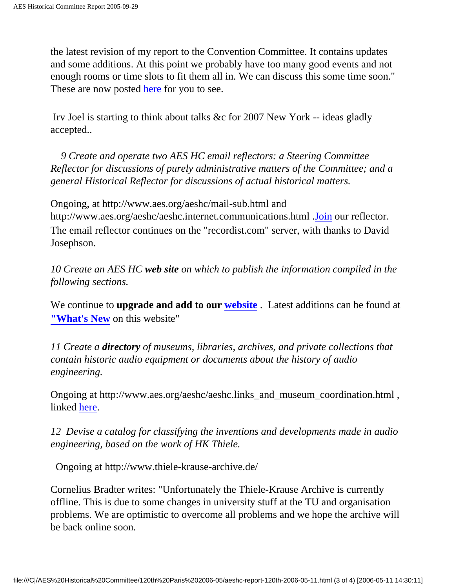the latest revision of my report to the Convention Committee. It contains updates and some additions. At this point we probably have too many good events and not enough rooms or time slots to fit them all in. We can discuss this some time soon." These are now posted [here](http://www.aes.org/aeshc/docs/committee.repts/HistoricalReport_4-19-06.pdf) for you to see.

 Irv Joel is starting to think about talks &c for 2007 New York -- ideas gladly accepted..

 *9 Create and operate two AES HC email reflectors: a Steering Committee Reflector for discussions of purely administrative matters of the Committee; and a general Historical Reflector for discussions of actual historical matters.*

Ongoing, at http://www.aes.org/aeshc/mail-sub.html and http://www.aes.org/aeshc/aeshc.internet.communications.html .[Join](http://www.aes.org/aeshc/mail-sub.html) our reflector. The email reflector continues on the "recordist.com" server, with thanks to David Josephson.

*10 Create an AES HC web site on which to publish the information compiled in the following sections.*

We continue to **upgrade and add to our [website](http://www.aes.org/aeshc/)** . Latest additions can be found at **["What's New](http://www.aes.org/aeshc/whatsnew.html)** on this website"

*11 Create a directory of museums, libraries, archives, and private collections that contain historic audio equipment or documents about the history of audio engineering.*

Ongoing at http://www.aes.org/aeshc/aeshc.links\_and\_museum\_coordination.html , linked [here.](http://www.aes.org/aeshc/aeshc.links_and_museum_coordination.html)

*12 Devise a catalog for classifying the inventions and developments made in audio engineering, based on the work of HK Thiele.*

Ongoing at http://www.thiele-krause-archive.de/

Cornelius Bradter writes: "Unfortunately the Thiele-Krause Archive is currently offline. This is due to some changes in university stuff at the TU and organisation problems. We are optimistic to overcome all problems and we hope the archive will be back online soon.